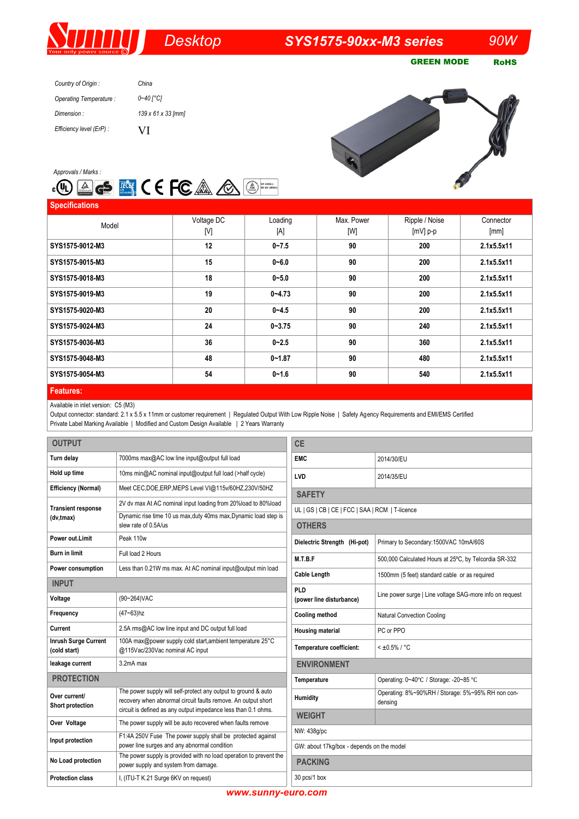## *Desktop SYS1575-90xx-M3 series 90W*

GREEN MODE RoHS

| Country of Origin:       | China              |
|--------------------------|--------------------|
| Operating Temperature:   | 0~40 [°C]          |
| Dimension:               | 139 x 61 x 33 [mm] |
| Efficiency level (ErP) : | VI                 |





**Specifications** Model Voltage DC [V] Loading [A] Max. Power [W] Ripple / Noise [mV] p-p **Connector** [mm] **SYS1575-9012-M3 12 0~7.5 90 200 2.1x5.5x11 SYS1575-9015-M3 15 0~6.0 90 200 2.1x5.5x11 SYS1575-9018-M3 18 0~5.0 90 200 2.1x5.5x11 SYS1575-9019-M3 19 0~4.73 90 200 2.1x5.5x11 SYS1575-9020-M3 20 0~4.5 90 200 2.1x5.5x11 SYS1575-9024-M3 24 0-3.75 90 240 2.1x5.5x11 SYS1575-9036-M3 36 0~2.5 90 360 2.1x5.5x11 SYS1575-9048-M3 48 0~1.87 90 480 2.1x5.5x11 SYS1575-9054-M3 54 0~1.6 90 540 2.1x5.5x11 Features:**

Available in inlet version: C5 (M3)

Output connector: standard: 2.1 x 5.5 x 11mm or customer requirement | Regulated Output With Low Ripple Noise | Safety Agency Requirements and EMI/EMS Certified Private Label Marking Available | Modified and Custom Design Available | 2 Years Warranty

| <b>OUTPUT</b>                               |                                                                                                                                 | <b>CE</b>                                                |                                                              |  |
|---------------------------------------------|---------------------------------------------------------------------------------------------------------------------------------|----------------------------------------------------------|--------------------------------------------------------------|--|
| Turn delay                                  | 7000ms max@AC low line input@output full load                                                                                   | <b>EMC</b>                                               | 2014/30/EU                                                   |  |
| Hold up time                                | 10ms min@AC nominal input@output full load (>half cycle)                                                                        | <b>LVD</b>                                               | 2014/35/EU                                                   |  |
| <b>Efficiency (Normal)</b>                  | Meet CEC, DOE, ERP, MEPS Level VI@115v/60HZ, 230V/50HZ                                                                          | <b>SAFETY</b>                                            |                                                              |  |
| <b>Transient response</b><br>(dv,tmax)      | 2V dv max At AC nominal input loading from 20%load to 80%load                                                                   | UL   GS   CB   CE   FCC   SAA   RCM   T-licence          |                                                              |  |
|                                             | Dynamic rise time 10 us max, duty 40ms max, Dynamic load step is<br>slew rate of 0.5A/us                                        | <b>OTHERS</b>                                            |                                                              |  |
| Power out.Limit                             | Peak 110w                                                                                                                       | Dielectric Strength (Hi-pot)                             | Primary to Secondary: 1500VAC 10mA/60S                       |  |
| <b>Burn in limit</b>                        | Full load 2 Hours                                                                                                               | M.T.B.F                                                  | 500,000 Calculated Hours at 25°C, by Telcordia SR-332        |  |
| Power consumption                           | Less than 0.21W ms max. At AC nominal input@output min load                                                                     | <b>Cable Length</b>                                      | 1500mm (5 feet) standard cable or as required                |  |
| <b>INPUT</b>                                |                                                                                                                                 | PLD                                                      |                                                              |  |
| Voltage                                     | (90~264) VAC                                                                                                                    | (power line disturbance)                                 | Line power surge   Line voltage SAG-more info on request     |  |
| Frequency                                   | $(47 - 63)$ hz                                                                                                                  | <b>Cooling method</b>                                    | Natural Convection Cooling                                   |  |
| Current                                     | 2.5A rms@AC low line input and DC output full load                                                                              | <b>Housing material</b>                                  | PC or PPO                                                    |  |
| <b>Inrush Surge Current</b><br>(cold start) | 100A max@power supply cold start, ambient temperature 25°C<br>@115Vac/230Vac nominal AC input                                   | Temperature coefficient:                                 | $< 10.5\% / °C$                                              |  |
| leakage current                             | 3.2mA max                                                                                                                       | <b>ENVIRONMENT</b>                                       |                                                              |  |
| <b>PROTECTION</b><br>Temperature            |                                                                                                                                 | Operating: 0~40°C / Storage: -20~85 °C                   |                                                              |  |
| Over current/<br>Short protection           | The power supply will self-protect any output to ground & auto<br>recovery when abnormal circuit faults remove. An output short | Humidity                                                 | Operating: 8%~90%RH / Storage: 5%~95% RH non con-<br>densing |  |
| Over Voltage                                | circuit is defined as any output impedance less than 0.1 ohms.<br>The power supply will be auto recovered when faults remove    | <b>WEIGHT</b>                                            |                                                              |  |
|                                             | F1:4A 250V Fuse The power supply shall be protected against                                                                     | NW: 438q/pc<br>GW: about 17kg/box - depends on the model |                                                              |  |
| Input protection                            | power line surges and any abnormal condition                                                                                    |                                                          |                                                              |  |
| No Load protection                          | The power supply is provided with no load operation to prevent the<br>power supply and system from damage.                      | <b>PACKING</b>                                           |                                                              |  |
| <b>Protection class</b>                     | I, (ITU-T K.21 Surge 6KV on request)                                                                                            | 30 pcs/1 box                                             |                                                              |  |